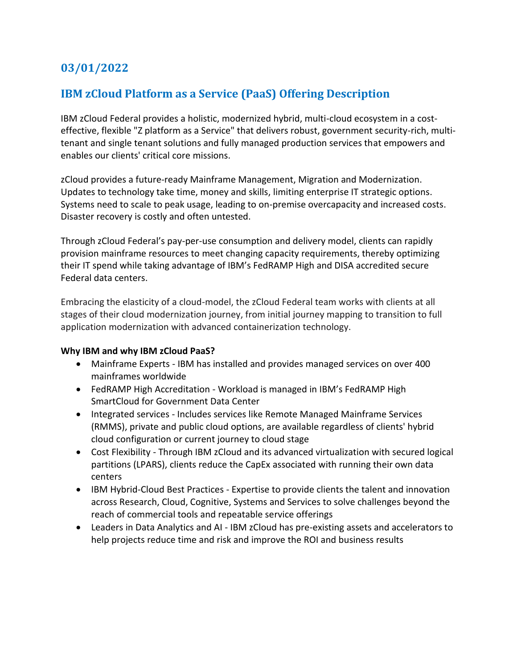## **03/01/2022**

## **IBM zCloud Platform as a Service (PaaS) Offering Description**

IBM zCloud Federal provides a holistic, modernized hybrid, multi-cloud ecosystem in a costeffective, flexible "Z platform as a Service" that delivers robust, government security-rich, multitenant and single tenant solutions and fully managed production services that empowers and enables our clients' critical core missions.

zCloud provides a future-ready Mainframe Management, Migration and Modernization. Updates to technology take time, money and skills, limiting enterprise IT strategic options. Systems need to scale to peak usage, leading to on-premise overcapacity and increased costs. Disaster recovery is costly and often untested.

Through zCloud Federal's pay-per-use consumption and delivery model, clients can rapidly provision mainframe resources to meet changing capacity requirements, thereby optimizing their IT spend while taking advantage of IBM's FedRAMP High and DISA accredited secure Federal data centers.

Embracing the elasticity of a cloud-model, the zCloud Federal team works with clients at all stages of their cloud modernization journey, from initial journey mapping to transition to full application modernization with advanced containerization technology.

## **Why IBM and why IBM zCloud PaaS?**

- Mainframe Experts IBM has installed and provides managed services on over 400 mainframes worldwide
- FedRAMP High Accreditation Workload is managed in IBM's FedRAMP High SmartCloud for Government Data Center
- Integrated services Includes services like Remote Managed Mainframe Services (RMMS), private and public cloud options, are available regardless of clients' hybrid cloud configuration or current journey to cloud stage
- Cost Flexibility Through IBM zCloud and its advanced virtualization with secured logical partitions (LPARS), clients reduce the CapEx associated with running their own data centers
- IBM Hybrid-Cloud Best Practices Expertise to provide clients the talent and innovation across Research, Cloud, Cognitive, Systems and Services to solve challenges beyond the reach of commercial tools and repeatable service offerings
- Leaders in Data Analytics and AI IBM zCloud has pre-existing assets and accelerators to help projects reduce time and risk and improve the ROI and business results